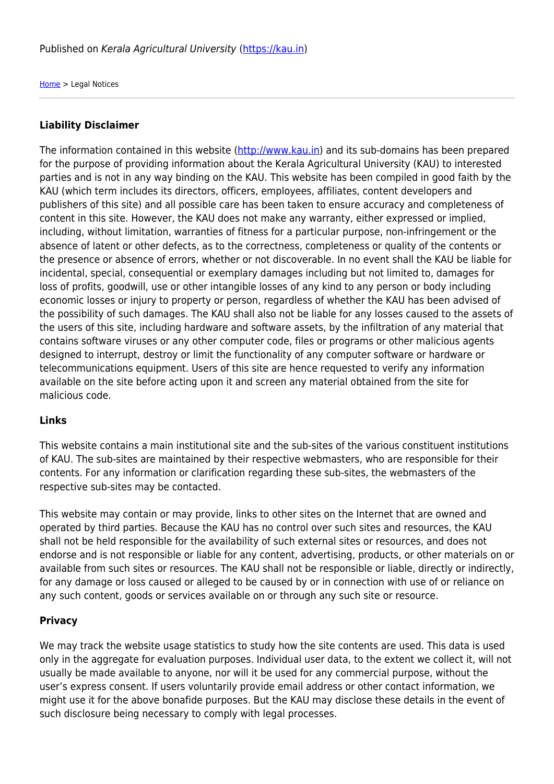[Home](https://kau.in/) > Legal Notices

### **Liability Disclaimer**

The information contained in this website [\(http://www.kau.in](http://www.kau.in)) and its sub-domains has been prepared for the purpose of providing information about the Kerala Agricultural University (KAU) to interested parties and is not in any way binding on the KAU. This website has been compiled in good faith by the KAU (which term includes its directors, officers, employees, affiliates, content developers and publishers of this site) and all possible care has been taken to ensure accuracy and completeness of content in this site. However, the KAU does not make any warranty, either expressed or implied, including, without limitation, warranties of fitness for a particular purpose, non-infringement or the absence of latent or other defects, as to the correctness, completeness or quality of the contents or the presence or absence of errors, whether or not discoverable. In no event shall the KAU be liable for incidental, special, consequential or exemplary damages including but not limited to, damages for loss of profits, goodwill, use or other intangible losses of any kind to any person or body including economic losses or injury to property or person, regardless of whether the KAU has been advised of the possibility of such damages. The KAU shall also not be liable for any losses caused to the assets of the users of this site, including hardware and software assets, by the infiltration of any material that contains software viruses or any other computer code, files or programs or other malicious agents designed to interrupt, destroy or limit the functionality of any computer software or hardware or telecommunications equipment. Users of this site are hence requested to verify any information available on the site before acting upon it and screen any material obtained from the site for malicious code.

### **Links**

This website contains a main institutional site and the sub-sites of the various constituent institutions of KAU. The sub-sites are maintained by their respective webmasters, who are responsible for their contents. For any information or clarification regarding these sub-sites, the webmasters of the respective sub-sites may be contacted.

This website may contain or may provide, links to other sites on the Internet that are owned and operated by third parties. Because the KAU has no control over such sites and resources, the KAU shall not be held responsible for the availability of such external sites or resources, and does not endorse and is not responsible or liable for any content, advertising, products, or other materials on or available from such sites or resources. The KAU shall not be responsible or liable, directly or indirectly, for any damage or loss caused or alleged to be caused by or in connection with use of or reliance on any such content, goods or services available on or through any such site or resource.

### **Privacy**

We may track the website usage statistics to study how the site contents are used. This data is used only in the aggregate for evaluation purposes. Individual user data, to the extent we collect it, will not usually be made available to anyone, nor will it be used for any commercial purpose, without the user's express consent. If users voluntarily provide email address or other contact information, we might use it for the above bonafide purposes. But the KAU may disclose these details in the event of such disclosure being necessary to comply with legal processes.